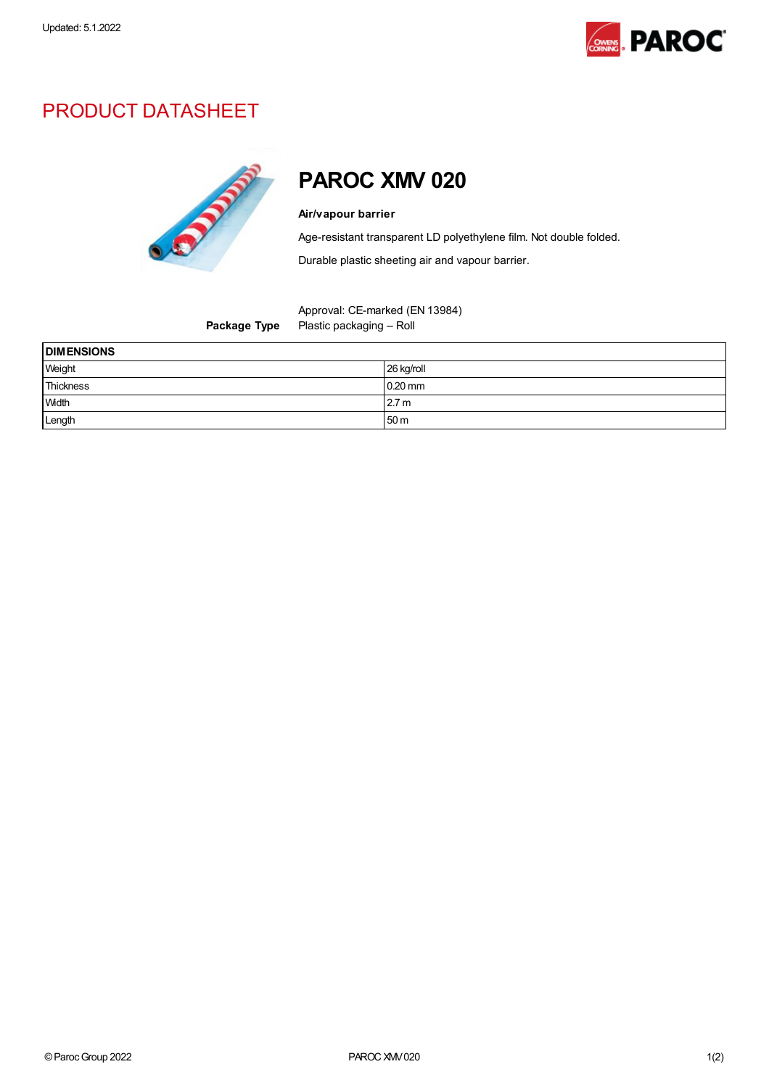

## PRODUCT DATASHEET



## PAROC XMV 020

## Air/vapour barrier

Age-resistant transparent LD polyethylene film. Not double folded.

Durable plastic sheeting air and vapour barrier.

Approval: CE-marked (EN 13984) Package Type Plastic packaging - Roll

| <b>DIMENSIONS</b> |                  |
|-------------------|------------------|
| Weight            | 26 kg/roll       |
| Thickness         | $0.20$ mm        |
| <b>Width</b>      | 2.7 <sub>m</sub> |
| Length            | 50 <sub>m</sub>  |